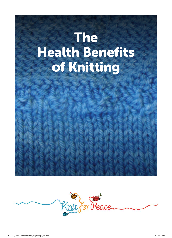# The Health Benefits of Knitting

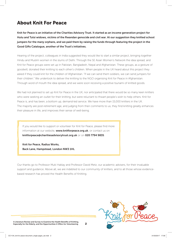## About Knit For Peace

Knit for Peace is an initiative of the Charities Advisory Trust. It started as an income generation project for Hutu and Tutsi widows, victims of the Rwandan genocide and civil war. At our suggestion they knitted school jumpers for the many orphans, and we paid them by raising the funds through featuring the project in the Good Gifts Catalogue, another of the Trust's initiatives.

Hearing of the project, colleagues in India suggested they would like to start a similar project, bringing together Hindu and Muslim women in the slums of Delhi. Through the SE Asian Women's Network the idea spread, and Knit for Peace groups were set up in Pakistan, Bangladesh, Nepal and Afghanistan. These groups, as a gesture of goodwill, donated their knitting to each other's children. When people in the UK heard about this project they asked if they could knit for the children of Afghanistan. "If we can send them soldiers, we can send jumpers for their children." We undertook to deliver the knitting to the NGO organising Knit for Peace in Afghanistan. Through word of mouth the idea spread, and we were soon receiving a positive tsunami of knitted goods.

We had not planned to set up Knit for Peace in the UK, nor anticipated that there would be so many keen knitters who were seeking an outlet for their knitting, but were reluctant to thwart people's wish to help others. Knit for Peace is, and has been, a bottom up, demand-led service. We have more than 15,000 knitters in the UK. The majority are post-retirement age, and judging from their comments to us, they find knitting greatly enhances their pleasure in life, and improves their sense of well-being.

If you would like to support or volunteer for Knit for Peace, please find more information at our website, www.knitforpeace.org.uk, or contact us on knitforpeace@charitiesadvisorytrust.org.uk or on 020 7794 9835.

Knit for Peace, Radius Works, Back Lane, Hampstead, London NW3 1HL

Our thanks go to Professor Muki Haklay and Professor David Metz, our academic advisers, for their invaluable support and guidance. Above all, we are indebted to our community of knitters, and to all those whose evidencebased research has proved the Health Benefits of Knitting.



A Literature Review and Survey to Examine the Health Benefits of Knitting,<br>Especially for the Elderly, and the Opportunities it Offers for Volunteering Especially for the Elderly, and the Opportunities it Offers for Volunteering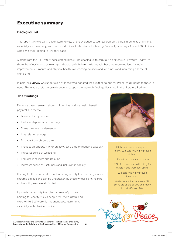# Executive summary

## Background

This report is in two parts: a Literature Review of the evidence-based research on the health benefits of knitting, especially for the elderly, and the opportunities it offers for volunteering. Secondly, a Survey of over 1,000 knitters who send their knitting to Knit for Peace.

A grant from the Big Lottery Accelerating Ideas Fund enabled us to carry out an extensive Literature Review, to show the effectiveness of knitting (and crochet) in helping older people become more resilient, including improvements in mental and physical health, overcoming isolation and loneliness and increasing a sense of well-being.

In parallel a **Survey** was undertaken of those who donated their knitting to Knit for Peace, to distribute to those in need. This was a useful cross-reference to support the research findings illustrated in the Literature Review.

## The findings

Evidence based research shows knitting has positive health benefits, physical and mental.

- Lowers blood pressure
- Reduces depression and anxiety
- Slows the onset of dementia
- Is as relaxing as yoga
- Distracts from chronic pain
- Provides an opportunity for creativity (at a time of reducing capacity)
- Increases sense of wellbeing
- Reduces loneliness and isolation
- Increases sense of usefulness and inclusion in society

Knitting for those in need is a volunteering activity that can carry on into extreme old age and can be undertaken by those whose sight, hearing and mobility are severely limited.

It provides an activity that gives a sense of purpose. Knitting for charity makes people feel more useful and worthwhile. Self-worth is important post retirement, especially with physical decline.

A Literature Review and Survey to Examine the Health Benefits of Knitting,<br>Especially for the Elderly, and the Opportunities it Offers for Volunteering **3** 



Of those in poor or very poor health, 92% said knitting improved their health.

82% said knitting relaxed them

65% of our knitters said knitting for others made them feel useful

> 92% said knitting improved their mood

67% of our knitters are over 60. Some are as old as 100 and many in their 80s and 90s.

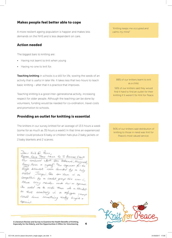#### Makes people feel better able to cope

A more resilient ageing population is happier and makes less demands on the NHS and is less dependent on care.

#### Action needed

The biggest bars to knitting are:

- Having not learnt to knit when young
- Having no one to knit for.

Teaching knitting in schools is a skill for life, sowing the seeds of an activity that is useful in later life. It takes less that two hours to teach basic knitting – after that it is practice that improves.

Teaching knitting is a good inter–generational activity, increasing respect for older people. Although the teaching can be done by volunteers, funding would be needed for co-ordination, travel costs and promotion to schools.

#### Providing an outlet for knitting is essential

The knitters in our survey knitted for an average of 13.5 hours a week (some for as much as 35 hours a week!) In that time an experienced knitter could produce 6 baby or children hats plus 2 baby jackets or 2 baby blankets and 2 scarves.

Door Krit for Peace, PLEASE COULD THESE HEMS. Go To REFUGEE CAMPS Our combined efforts from Kathenie, Margaret Peggy. Nova & nyself. The squares for the large blanket were donated by a lady called Jacqui. She son them in a competition by a cracket group sile was in Where every member made her a square. She asked me to make them into a blanket so that somebody in a refugee camp could have something really bright + Special.

*"Knitting keeps me occupied and calms my mind"*

88% of our knitters learnt to knit as a child.

56% of our knitters said they would find it hard to find an outlet for their knitting if it weren't for Knit for Peace.

90% of our knitters said distribution of knitting to those in need was Knit for Peace's most valued service.



A Literature Review and Survey to Examine the Health Benefits of Knitting,<br>Especially for the Elderly, and the Opportunities it Offers for Volunteering 4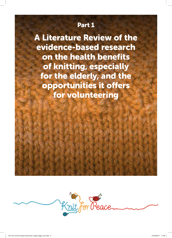# Part 1

A Literature Review of the evidence-based research on the health benefits of knitting, especially for the elderly, and the opportunities it offers for volunteering